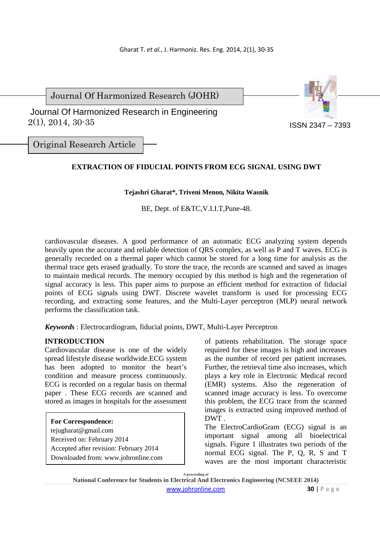Journal Of Harmonized Research (JOHR)

 2(1), 2014, 30-35 Journal Of Harmonized Research in Engineering



Original Research Article

# **EXTRACTION OF FIDUCIAL POINTS FROM ECG SIGNAL USING DWT**

### **Tejashri Gharat\*, Triveni Menon, Nikita Wasnik**

BE, Dept. of E&TC,V.I.I.T,Pune-48.

cardiovascular diseases. A good performance of an automatic ECG analyzing system depends heavily upon the accurate and reliable detection of QRS complex, as well as P and T waves. ECG is generally recorded on a thermal paper which cannot be stored for a long time for analysis as the thermal trace gets erased gradually. To store the trace, the records are scanned and saved as images to maintain medical records. The memory occupied by this method is high and the regeneration of signal accuracy is less. This paper aims to purpose an efficient method for extraction of fiducial points of ECG signals using DWT. Discrete wavelet transform is used for processing ECG recording, and extracting some features, and the Multi-Layer perceptron (MLP) neural network performs the classification task.

*Keywords* : Electrocardiogram, fiducial points, DWT, Multi-Layer Perceptron

### **INTRODUCTION**

Cardiovascular disease is one of the widely spread lifestyle disease worldwide.ECG system has been adopted to monitor the heart's condition and measure process continuously. ECG is recorded on a regular basis on thermal paper . These ECG records are scanned and stored as images in hospitals for the assessment

#### **For Correspondence:**

tejugharat@gmail.com Received on: February 2014 Accepted after revision: February 2014 Downloaded from: www.johronline.com of patients rehabilitation. The storage space required for these images is high and increases as the number of record per patient increases. Further, the retrieval time also increases, which plays a key role in Electronic Medical record (EMR) systems. Also the regeneration of scanned image accuracy is less. To overcome this problem, the ECG trace from the scanned images is extracted using improved method of DWT .

The ElectroCardioGram (ECG) signal is an important signal among all bioelectrical signals. Figure 1 illustrates two periods of the normal ECG signal. The P, Q, R, S and T waves are the most important characteristic

**A proceeding of** 

**National Conference for Students in Electrical And Electronics Engineering (NCSEEE 2014)**  www.johronline.com **30** | P a g e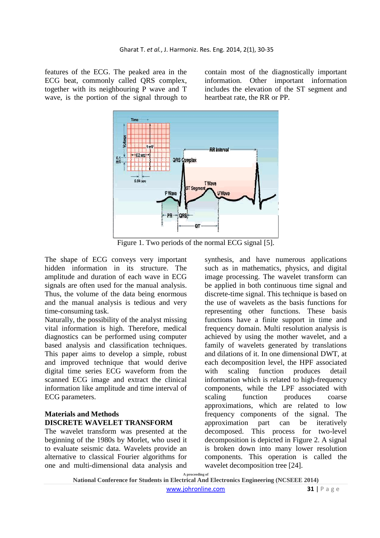features of the ECG. The peaked area in the ECG beat, commonly called QRS complex, together with its neighbouring P wave and T wave, is the portion of the signal through to contain most of the diagnostically important information. Other important information includes the elevation of the ST segment and heartbeat rate, the RR or PP.



Figure 1. Two periods of the normal ECG signal [5].

The shape of ECG conveys very important hidden information in its structure. The amplitude and duration of each wave in ECG signals are often used for the manual analysis. Thus, the volume of the data being enormous and the manual analysis is tedious and very time-consuming task.

Naturally, the possibility of the analyst missing vital information is high. Therefore, medical diagnostics can be performed using computer based analysis and classification techniques. This paper aims to develop a simple, robust and improved technique that would derive digital time series ECG waveform from the scanned ECG image and extract the clinical information like amplitude and time interval of ECG parameters.

## **Materials and Methods DISCRETE WAVELET TRANSFORM**

The wavelet transform was presented at the beginning of the 1980s by Morlet, who used it to evaluate seismic data. Wavelets provide an alternative to classical Fourier algorithms for one and multi-dimensional data analysis and synthesis, and have numerous applications such as in mathematics, physics, and digital image processing. The wavelet transform can be applied in both continuous time signal and discrete-time signal. This technique is based on the use of wavelets as the basis functions for representing other functions. These basis functions have a finite support in time and frequency domain. Multi resolution analysis is achieved by using the mother wavelet, and a family of wavelets generated by translations and dilations of it. In one dimensional DWT, at each decomposition level, the HPF associated with scaling function produces detail information which is related to high-frequency components, while the LPF associated with scaling function produces coarse approximations, which are related to low frequency components of the signal. The approximation part can be iteratively decomposed. This process for two-level decomposition is depicted in Figure 2. A signal is broken down into many lower resolution components. This operation is called the wavelet decomposition tree [24].

**A proceeding of National Conference for Students in Electrical And Electronics Engineering (NCSEEE 2014)** 

www.johronline.com **31** | P a g e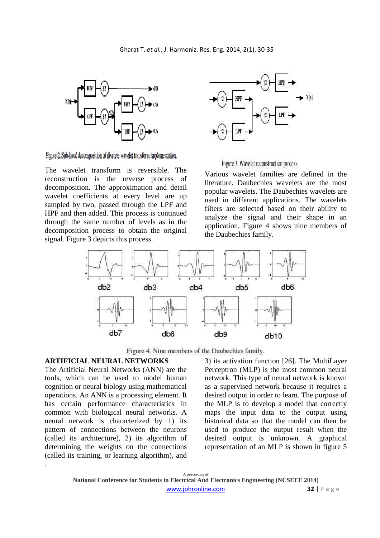

Figure 2. Sub-band decomposition of discrete wavelet transform implementation,

The wavelet transform is reversible. The reconstruction is the reverse process of decomposition. The approximation and detail wavelet coefficients at every level are up sampled by two, passed through the LPF and HPF and then added. This process is continued through the same number of levels as in the decomposition process to obtain the original signal. Figure 3 depicts this process.



Figure 3. Wavelet reconstruction process.

Various wavelet families are defined in the literature. Daubechies wavelets are the most popular wavelets. The Daubechies wavelets are used in different applications. The wavelets filters are selected based on their ability to analyze the signal and their shape in an application. Figure 4 shows nine members of the Daubechies family.



Figure 4. Nine members of the Daubechies family.

#### **ARTIFICIAL NEURAL NETWORKS**

The Artificial Neural Networks (ANN) are the tools, which can be used to model human cognition or neural biology using mathematical operations. An ANN is a processing element. It has certain performance characteristics in common with biological neural networks. A neural network is characterized by 1) its pattern of connections between the neurons (called its architecture), 2) its algorithm of determining the weights on the connections (called its training, or learning algorithm), and .

3) its activation function [26]. The MultiLayer Perceptron (MLP) is the most common neural network. This type of neural network is known as a supervised network because it requires a desired output in order to learn. The purpose of the MLP is to develop a model that correctly maps the input data to the output using historical data so that the model can then be used to produce the output result when the desired output is unknown. A graphical representation of an MLP is shown in figure 5

**A proceeding of National Conference for Students in Electrical And Electronics Engineering (NCSEEE 2014)**  www.johronline.com **32** | P a g e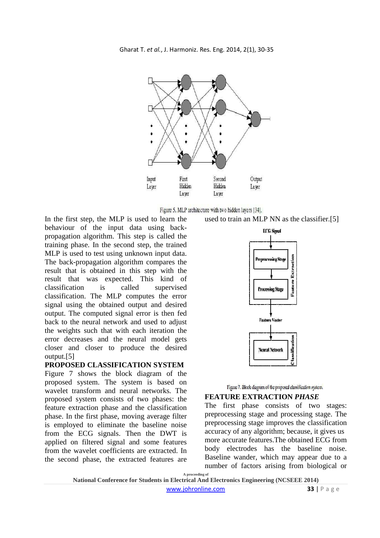



In the first step, the MLP is used to learn the behaviour of the input data using backpropagation algorithm. This step is called the training phase. In the second step, the trained MLP is used to test using unknown input data. The back-propagation algorithm compares the result that is obtained in this step with the result that was expected. This kind of classification is called supervised classification. The MLP computes the error signal using the obtained output and desired output. The computed signal error is then fed back to the neural network and used to adjust the weights such that with each iteration the error decreases and the neural model gets closer and closer to produce the desired output.[5]

#### **PROPOSED CLASSIFICATION SYSTEM**

Figure 7 shows the block diagram of the proposed system. The system is based on wavelet transform and neural networks. The proposed system consists of two phases: the feature extraction phase and the classification phase. In the first phase, moving average filter is employed to eliminate the baseline noise from the ECG signals. Then the DWT is applied on filtered signal and some features from the wavelet coefficients are extracted. In the second phase, the extracted features are







#### **FEATURE EXTRACTION** *PHASE*

The first phase consists of two stages: preprocessing stage and processing stage. The preprocessing stage improves the classification accuracy of any algorithm; because, it gives us more accurate features.The obtained ECG from body electrodes has the baseline noise. Baseline wander, which may appear due to a number of factors arising from biological or

**A proceeding of** 

**National Conference for Students in Electrical And Electronics Engineering (NCSEEE 2014)**  www.johronline.com **33** | P a g e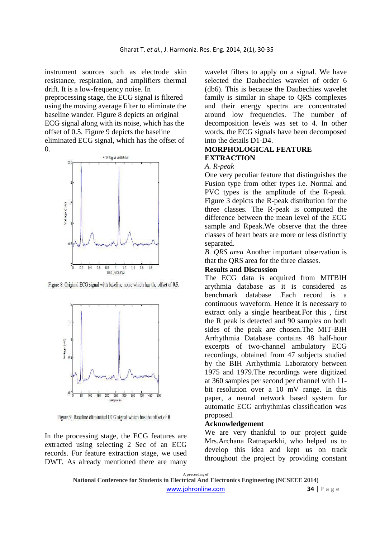instrument sources such as electrode skin resistance, respiration, and amplifiers thermal drift. It is a low-frequency noise. In preprocessing stage, the ECG signal is filtered using the moving average filter to eliminate the baseline wander. Figure 8 depicts an original ECG signal along with its noise, which has the offset of 0.5. Figure 9 depicts the baseline eliminated ECG signal, which has the offset of  $\Omega$ .



Figure 8. Original ECG signal with baseline noise which has the offset of 0.5.



Figure 9. Baseline eliminated ECG signal which has the offset of 0

In the processing stage, the ECG features are extracted using selecting 2 Sec of an ECG records. For feature extraction stage, we used DWT. As already mentioned there are many wavelet filters to apply on a signal. We have selected the Daubechies wavelet of order 6 (db6). This is because the Daubechies wavelet family is similar in shape to QRS complexes and their energy spectra are concentrated around low frequencies. The number of decomposition levels was set to 4. In other words, the ECG signals have been decomposed into the details D1-D4.

## **MORPHOLOGICAL FEATURE EXTRACTION**

#### *A. R-peak*

One very peculiar feature that distinguishes the Fusion type from other types i.e. Normal and PVC types is the amplitude of the R-peak. Figure 3 depicts the R-peak distribution for the three classes. The R-peak is computed the difference between the mean level of the ECG sample and Rpeak.We observe that the three classes of heart beats are more or less distinctly separated.

*B. QRS area* Another important observation is that the QRS area for the three classes.

### **Results and Discussion**

The ECG data is acquired from MITBIH arythmia database as it is considered as benchmark database .Each record is a continuous waveform. Hence it is necessary to extract only a single heartbeat.For this , first the R peak is detected and 90 samples on both sides of the peak are chosen.The MIT-BIH Arrhythmia Database contains 48 half-hour excerpts of two-channel ambulatory ECG recordings, obtained from 47 subjects studied by the BIH Arrhythmia Laboratory between 1975 and 1979.The recordings were digitized at 360 samples per second per channel with 11 bit resolution over a 10 mV range. In this paper, a neural network based system for automatic ECG arrhythmias classification was proposed.

#### **Acknowledgement**

We are very thankful to our project guide Mrs.Archana Ratnaparkhi*,* who helped us to develop this idea and kept us on track throughout the project by providing constant

**A proceeding of**